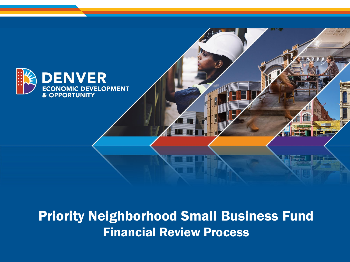

#### Priority Neighborhood Small Business Fund Financial Review Process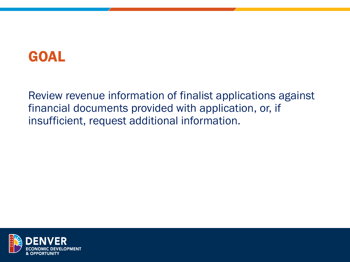### GOAL

Review revenue information of finalist applications against financial documents provided with application, or, if insufficient, request additional information.

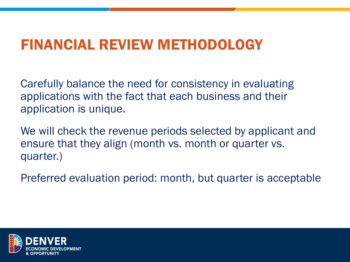### FINANCIAL REVIEW METHODOLOGY

Carefully balance the need for consistency in evaluating applications with the fact that each business and their application is unique.

We will check the revenue periods selected by applicant and ensure that they align (month vs. month or quarter vs. quarter.)

Preferred evaluation period: month, but quarter is acceptable

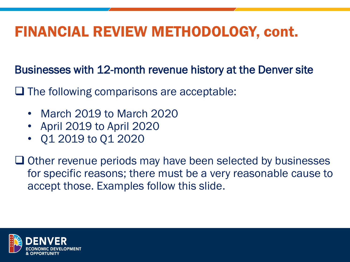Businesses with 12-month revenue history at the Denver site

❑ The following comparisons are acceptable:

- March 2019 to March 2020
- April 2019 to April 2020
- Q1 2019 to Q1 2020

❑ Other revenue periods may have been selected by businesses for specific reasons; there must be a very reasonable cause to accept those. Examples follow this slide.

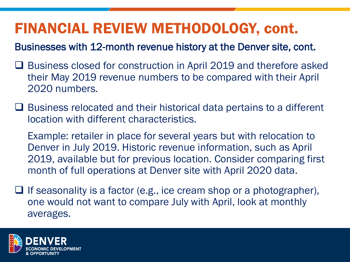Businesses with 12-month revenue history at the Denver site, cont.

- ❑ Business closed for construction in April 2019 and therefore asked their May 2019 revenue numbers to be compared with their April 2020 numbers.
- ❑ Business relocated and their historical data pertains to a different location with different characteristics.

Example: retailer in place for several years but with relocation to Denver in July 2019. Historic revenue information, such as April 2019, available but for previous location. Consider comparing first month of full operations at Denver site with April 2020 data.

 $\Box$  If seasonality is a factor (e.g., ice cream shop or a photographer), one would not want to compare July with April, look at monthly averages.

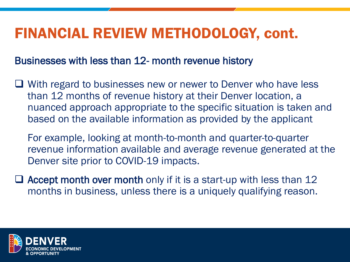#### Businesses with less than 12- month revenue history

- ❑ With regard to businesses new or newer to Denver who have less than 12 months of revenue history at their Denver location, a nuanced approach appropriate to the specific situation is taken and based on the available information as provided by the applicant
	- For example, looking at month-to-month and quarter-to-quarter revenue information available and average revenue generated at the Denver site prior to COVID-19 impacts.
- $\Box$  Accept month over month only if it is a start-up with less than 12 months in business, unless there is a uniquely qualifying reason.

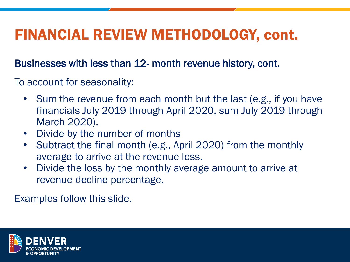Businesses with less than 12- month revenue history, cont.

To account for seasonality:

- Sum the revenue from each month but the last (e.g., if you have financials July 2019 through April 2020, sum July 2019 through March 2020).
- Divide by the number of months
- Subtract the final month (e.g., April 2020) from the monthly average to arrive at the revenue loss.
- Divide the loss by the monthly average amount to arrive at revenue decline percentage.

Examples follow this slide.

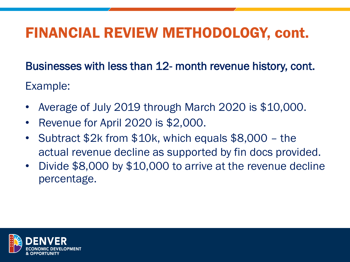Businesses with less than 12- month revenue history, cont. Example:

- Average of July 2019 through March 2020 is \$10,000.
- Revenue for April 2020 is \$2,000.
- Subtract \$2k from \$10k, which equals \$8,000 the actual revenue decline as supported by fin docs provided.
- Divide \$8,000 by \$10,000 to arrive at the revenue decline percentage.

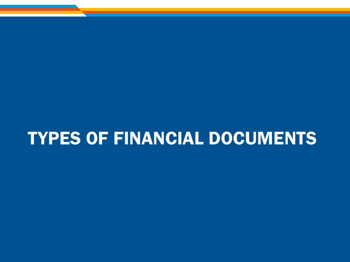# TYPES OF FINANCIAL DOCUMENTS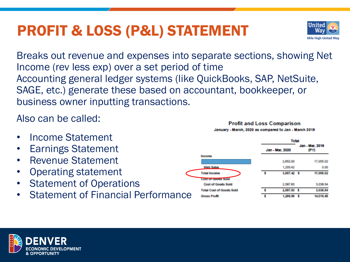## PROFIT & LOSS (P&L) STATEMENT



Also can be called:

- Income Statement
- Earnings Statement
- Revenue Statement
- Operating statement
- **Statement of Operations**
- Statement of Financial Performance

#### **Profit and Loss Comparison** January - Maroh, 2020 as compared to Jan - Maroh 2018

Unitec

**Mile High United Way** 



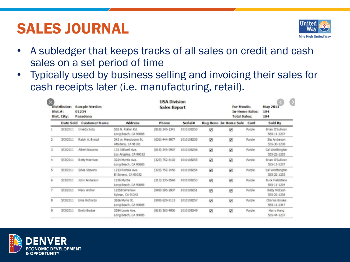## SALES JOURNAL



- A subledger that keeps tracks of all sales on credit and cash sales on a set period of time
- Typically used by business selling and invoicing their sales for cash receipts later (i.e. manufacturing, retail).

| Distributor:<br>Dist.#:<br>Dist. City: |                  | Sample Version<br>01234<br>Pasadena |                                             | For Month:<br>In-Home Sales:<br><b>Total Sales:</b> |            | <b>May 2011</b><br>104<br>104 | $\rightarrow$         |        |                                       |  |
|----------------------------------------|------------------|-------------------------------------|---------------------------------------------|-----------------------------------------------------|------------|-------------------------------|-----------------------|--------|---------------------------------------|--|
|                                        | <b>Date Sold</b> | <b>Customer Name</b>                | <b>Address</b>                              | Phone                                               | Serval #   |                               | Rug Reno In-Home Sale | Card   | Sold By                               |  |
|                                        | 5/3/2011         | Imeida Soto                         | 555 N. Rollan Rd.<br>Long Beach, CA 90805   | $(818)$ 345-1341                                    | 1010106250 | ø                             | ø                     | Purple | Brian O'Sullivan<br>555-11-1237       |  |
| 2                                      | 5/3/2011         | Ralph A. Bristol                    | 342 w. Mendocino St.<br>Alta dena, CA 91001 | (626) 444-9977                                      | 1010106233 | 叼                             | ø                     | Purple | Stu Anderson<br>555-33-1238           |  |
| з                                      | 5/3/2011         | <b>Abert Navarro</b>                | 133 Stillwell Ave.<br>Los Angeles, CA 90032 | (81.6) 345-8907                                     | 1010108256 | 91                            | Ø                     | Purple | Cal Worthington<br>555-22-1235        |  |
|                                        | S/3/2011         | Betty Morrison                      | 3224 Myrtle Ave.<br>Long Beach, CA 90805    | $(323)$ 752-8102                                    | 1010108255 | ☑                             | ø                     | Purple | Brian O'Suliwan<br>555-11-1237        |  |
| 5                                      | 5/3/2011         | Silva Stevens                       | 1233 Portola Ave.<br>El Sarano, CA 90032    | $(323)$ 752-2450                                    | 1010108254 | 叼                             | 図                     | Purple | Cal Worthington<br>555-22-1235        |  |
| 6                                      | S/3/2011         | John Anderson                       | 1236 Myrtle<br>Long Beach, CA 90805         | (21.3) 235-8548                                     | 1010108253 | 図                             | ø                     | Purple | <b>Buck Fieldstone</b><br>555-11-1234 |  |
| 7                                      | 5/3/2011         | Mary Archer                         | 12558 Smshaw<br>Sylmar, CA 91342            | (909) 595-2937                                      | 1010108251 | ø                             | ø                     | Purple | Betty McCash<br>555-22-1238           |  |
| 8                                      | 5/3/2011         | Ema Richards                        | 3656 Myrla St.<br>Long Beach, CA 90805      | (909) 629-8115                                      | 1010108257 | V)                            | V)                    | Purple | Charles Brooks<br>555-11-2347         |  |
| g                                      | 5/3/2011         | Emily Becker                        | 3284 Lewis Ave.<br>Long Beach, CA 90805     | (818) 363-4956                                      | 1010108249 | Ÿ.                            | <b>V</b>              | Purple | Harry Hong<br>555-44-1237             |  |
|                                        |                  |                                     |                                             |                                                     |            |                               |                       |        |                                       |  |

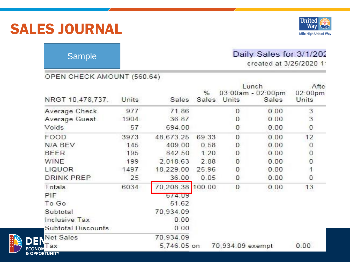#### SALES JOURNAL



#### Sample

#### Daily Sales for 3/1/202

created at 3/25/2020 1

#### OPEN CHECK AMOUNT (560.64)

|                                 | Units | Sales       |            | Lunch            | Afte                       |                  |
|---------------------------------|-------|-------------|------------|------------------|----------------------------|------------------|
| NRGT 10,478,737.                |       |             | %<br>Sales | Units            | 03:00am - 02:00pm<br>Sales | 02:00pm<br>Units |
| Average Check                   | 977   | 71.86       |            | 0                | 0.00                       | 3                |
| Average Guest                   | 1904  | 36.87       |            | 0                | 0.00                       | 3                |
| Voids                           | 57    | 694.00      |            | 0                | 0.00                       | 0                |
| FOOD                            | 3973  | 48,673.25   | 69.33      | 0                | 0.00                       | 12               |
| N/A BEV                         | 145   | 409.00      | 0.58       | 0                | 0.00                       | 0                |
| <b>BEER</b>                     | 195   | 842.50      | 1.20       | 0                | 0.00                       | $\circ$          |
| <b>WINE</b>                     | 199   | 2,018.63    | 2.88       | 0                | 0.00                       | $\overline{0}$   |
| LIQUOR                          | 1497  | 18,229.00   | 25.96      | 0                | 0.00                       |                  |
| <b>DRINK PREP</b>               | 25    | 36.00       | 0.05       | 0                | 0.00                       | 0                |
| Totals                          | 6034  | 70,208.38   | 100.00     | 0                | 0.00                       | 13               |
| PIF                             |       | 674.09      |            |                  |                            |                  |
| To Go                           |       | 51.62       |            |                  |                            |                  |
| Subtotal                        |       | 70,934.09   |            |                  |                            |                  |
| Inclusive Tax                   |       | 0.00        |            |                  |                            |                  |
| <b>Subtotal Discounts</b>       |       | 0.00        |            |                  |                            |                  |
| <b>Net Sales</b>                |       | 70,934.09   |            |                  |                            |                  |
| Tax<br><b>&amp; OPPORTUNITY</b> |       | 5,746.05 on |            | 70,934.09 exempt |                            | 0.00             |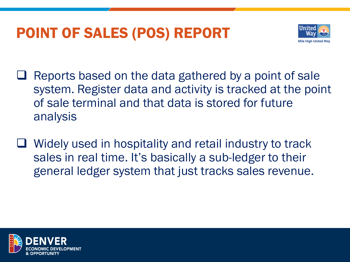## POINT OF SALES (POS) REPORT



- ❑ Reports based on the data gathered by a point of sale system. Register data and activity is tracked at the point of sale terminal and that data is stored for future analysis
- ❑ Widely used in hospitality and retail industry to track sales in real time. It's basically a sub-ledger to their general ledger system that just tracks sales revenue.

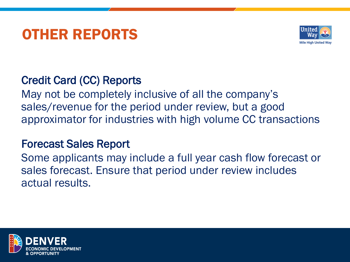### OTHER REPORTS



#### Credit Card (CC) Reports

May not be completely inclusive of all the company's sales/revenue for the period under review, but a good approximator for industries with high volume CC transactions

#### Forecast Sales Report

Some applicants may include a full year cash flow forecast or sales forecast. Ensure that period under review includes actual results.

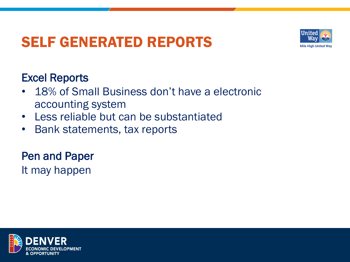## SELF GENERATED REPORTS



#### Excel Reports

- 18% of Small Business don't have a electronic accounting system
- Less reliable but can be substantiated
- Bank statements, tax reports

Pen and Paper It may happen

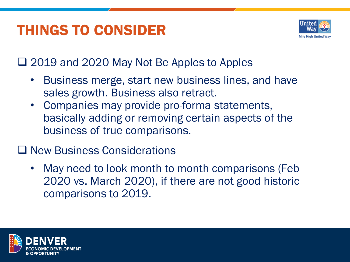## THINGS TO CONSIDER



❑ 2019 and 2020 May Not Be Apples to Apples

- Business merge, start new business lines, and have sales growth. Business also retract.
- Companies may provide pro-forma statements, basically adding or removing certain aspects of the business of true comparisons.

#### ❑ New Business Considerations

• May need to look month to month comparisons (Feb 2020 vs. March 2020), if there are not good historic comparisons to 2019.